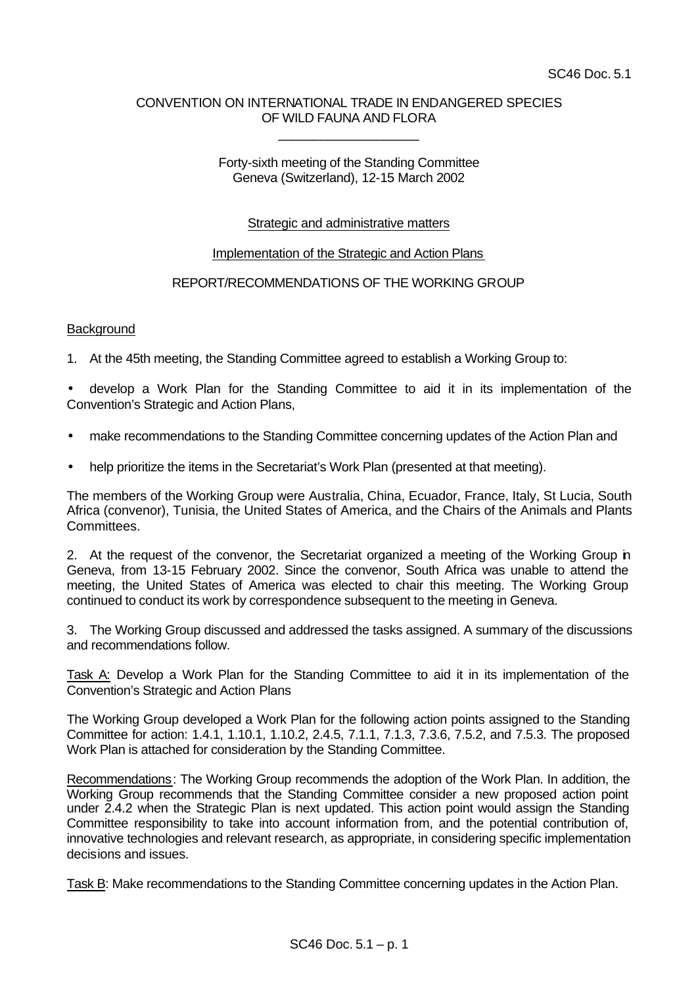# CONVENTION ON INTERNATIONAL TRADE IN ENDANGERED SPECIES OF WILD FAUNA AND FLORA

\_\_\_\_\_\_\_\_\_\_\_\_\_\_\_\_\_\_\_\_

#### Forty-sixth meeting of the Standing Committee Geneva (Switzerland), 12-15 March 2002

# Strategic and administrative matters

## Implementation of the Strategic and Action Plans

## REPORT/RECOMMENDATIONS OF THE WORKING GROUP

## **Background**

1. At the 45th meeting, the Standing Committee agreed to establish a Working Group to:

• develop a Work Plan for the Standing Committee to aid it in its implementation of the Convention's Strategic and Action Plans,

- make recommendations to the Standing Committee concerning updates of the Action Plan and
- help prioritize the items in the Secretariat's Work Plan (presented at that meeting).

The members of the Working Group were Australia, China, Ecuador, France, Italy, St Lucia, South Africa (convenor), Tunisia, the United States of America, and the Chairs of the Animals and Plants Committees.

2. At the request of the convenor, the Secretariat organized a meeting of the Working Group in Geneva, from 13-15 February 2002. Since the convenor, South Africa was unable to attend the meeting, the United States of America was elected to chair this meeting. The Working Group continued to conduct its work by correspondence subsequent to the meeting in Geneva.

3. The Working Group discussed and addressed the tasks assigned. A summary of the discussions and recommendations follow.

Task A: Develop a Work Plan for the Standing Committee to aid it in its implementation of the Convention's Strategic and Action Plans

The Working Group developed a Work Plan for the following action points assigned to the Standing Committee for action: 1.4.1, 1.10.1, 1.10.2, 2.4.5, 7.1.1, 7.1.3, 7.3.6, 7.5.2, and 7.5.3. The proposed Work Plan is attached for consideration by the Standing Committee.

Recommendations: The Working Group recommends the adoption of the Work Plan. In addition, the Working Group recommends that the Standing Committee consider a new proposed action point under 2.4.2 when the Strategic Plan is next updated. This action point would assign the Standing Committee responsibility to take into account information from, and the potential contribution of, innovative technologies and relevant research, as appropriate, in considering specific implementation decisions and issues.

Task B: Make recommendations to the Standing Committee concerning updates in the Action Plan.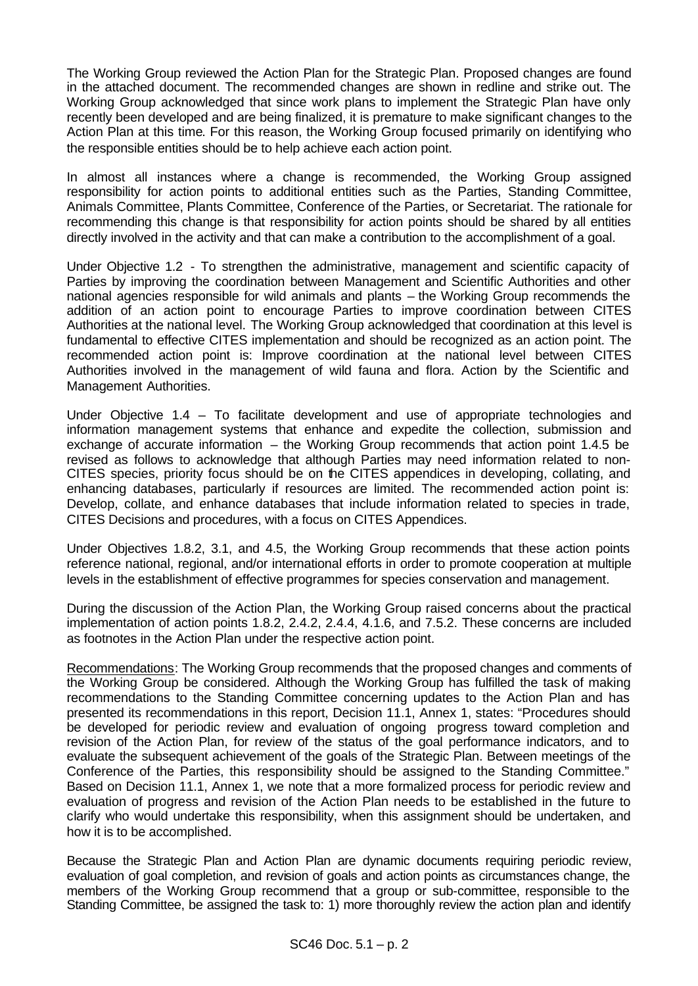The Working Group reviewed the Action Plan for the Strategic Plan. Proposed changes are found in the attached document. The recommended changes are shown in redline and strike out. The Working Group acknowledged that since work plans to implement the Strategic Plan have only recently been developed and are being finalized, it is premature to make significant changes to the Action Plan at this time. For this reason, the Working Group focused primarily on identifying who the responsible entities should be to help achieve each action point.

In almost all instances where a change is recommended, the Working Group assigned responsibility for action points to additional entities such as the Parties, Standing Committee, Animals Committee, Plants Committee, Conference of the Parties, or Secretariat. The rationale for recommending this change is that responsibility for action points should be shared by all entities directly involved in the activity and that can make a contribution to the accomplishment of a goal.

Under Objective 1.2 - To strengthen the administrative, management and scientific capacity of Parties by improving the coordination between Management and Scientific Authorities and other national agencies responsible for wild animals and plants – the Working Group recommends the addition of an action point to encourage Parties to improve coordination between CITES Authorities at the national level. The Working Group acknowledged that coordination at this level is fundamental to effective CITES implementation and should be recognized as an action point. The recommended action point is: Improve coordination at the national level between CITES Authorities involved in the management of wild fauna and flora. Action by the Scientific and Management Authorities.

Under Objective 1.4 – To facilitate development and use of appropriate technologies and information management systems that enhance and expedite the collection, submission and exchange of accurate information – the Working Group recommends that action point 1.4.5 be revised as follows to acknowledge that although Parties may need information related to non-CITES species, priority focus should be on the CITES appendices in developing, collating, and enhancing databases, particularly if resources are limited. The recommended action point is: Develop, collate, and enhance databases that include information related to species in trade, CITES Decisions and procedures, with a focus on CITES Appendices.

Under Objectives 1.8.2, 3.1, and 4.5, the Working Group recommends that these action points reference national, regional, and/or international efforts in order to promote cooperation at multiple levels in the establishment of effective programmes for species conservation and management.

During the discussion of the Action Plan, the Working Group raised concerns about the practical implementation of action points 1.8.2, 2.4.2, 2.4.4, 4.1.6, and 7.5.2. These concerns are included as footnotes in the Action Plan under the respective action point.

Recommendations: The Working Group recommends that the proposed changes and comments of the Working Group be considered. Although the Working Group has fulfilled the task of making recommendations to the Standing Committee concerning updates to the Action Plan and has presented its recommendations in this report, Decision 11.1, Annex 1, states: "Procedures should be developed for periodic review and evaluation of ongoing progress toward completion and revision of the Action Plan, for review of the status of the goal performance indicators, and to evaluate the subsequent achievement of the goals of the Strategic Plan. Between meetings of the Conference of the Parties, this responsibility should be assigned to the Standing Committee." Based on Decision 11.1, Annex 1, we note that a more formalized process for periodic review and evaluation of progress and revision of the Action Plan needs to be established in the future to clarify who would undertake this responsibility, when this assignment should be undertaken, and how it is to be accomplished.

Because the Strategic Plan and Action Plan are dynamic documents requiring periodic review, evaluation of goal completion, and revision of goals and action points as circumstances change, the members of the Working Group recommend that a group or sub-committee, responsible to the Standing Committee, be assigned the task to: 1) more thoroughly review the action plan and identify